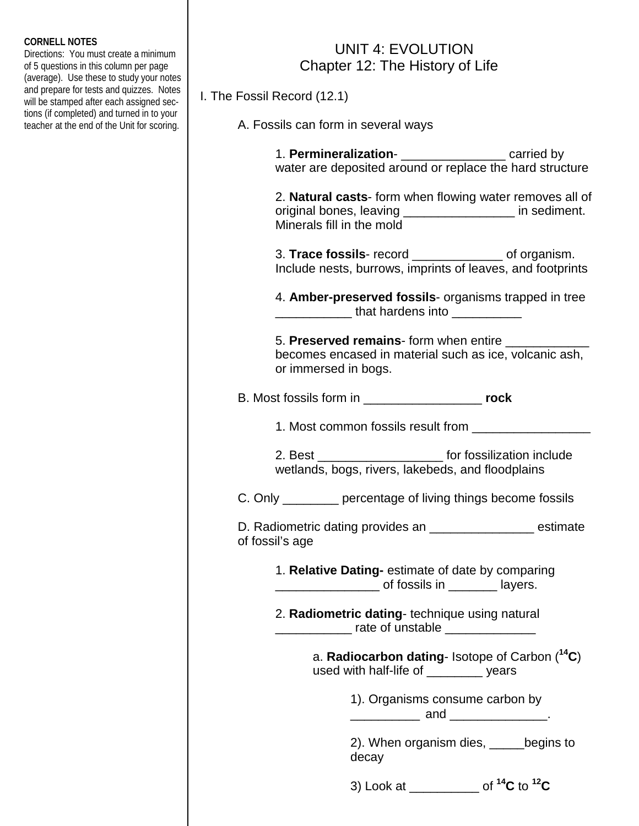## **CORNELL NOTES**

Directions: You must create a minimum of 5 questions in this column per page (average). Use these to study your notes and prepare for tests and quizzes. Notes will be stamped after each assigned sections (if completed) and turned in to your teacher at the end of the Unit for scoring.

## UNIT 4: EVOLUTION Chapter 12: The History of Life

I. The Fossil Record (12.1)

A. Fossils can form in several ways

|                                                                                                                                                                                                                                |                                                                                                                | water are deposited around or replace the hard structure                                                             |
|--------------------------------------------------------------------------------------------------------------------------------------------------------------------------------------------------------------------------------|----------------------------------------------------------------------------------------------------------------|----------------------------------------------------------------------------------------------------------------------|
| Minerals fill in the mold                                                                                                                                                                                                      |                                                                                                                | 2. Natural casts- form when flowing water removes all of<br>original bones, leaving __________________ in sediment.  |
|                                                                                                                                                                                                                                |                                                                                                                | 3. Trace fossils- record ________________ of organism.<br>Include nests, burrows, imprints of leaves, and footprints |
|                                                                                                                                                                                                                                | _________________that hardens into _____________                                                               | 4. Amber-preserved fossils- organisms trapped in tree                                                                |
| or immersed in bogs.                                                                                                                                                                                                           |                                                                                                                | 5. Preserved remains- form when entire<br>becomes encased in material such as ice, volcanic ash,                     |
| B. Most fossils form in the control of the control of the control of the control of the control of the control of the control of the control of the control of the control of the control of the control of the control of the |                                                                                                                |                                                                                                                      |
|                                                                                                                                                                                                                                | 1. Most common fossils result from _____________                                                               |                                                                                                                      |
|                                                                                                                                                                                                                                | wetlands, bogs, rivers, lakebeds, and floodplains                                                              | 2. Best ________________________ for fossilization include                                                           |
|                                                                                                                                                                                                                                |                                                                                                                | C. Only _________ percentage of living things become fossils                                                         |
| of fossil's age                                                                                                                                                                                                                |                                                                                                                | D. Radiometric dating provides an ___________________ estimate                                                       |
|                                                                                                                                                                                                                                | 1. Relative Dating- estimate of date by comparing<br><u>___________________</u> of fossils in ________ layers. |                                                                                                                      |
|                                                                                                                                                                                                                                | 2. Radiometric dating- technique using natural<br><u>_____________</u> rate of unstable _______________        |                                                                                                                      |
|                                                                                                                                                                                                                                | used with half-life of ________ years                                                                          | a. Radiocarbon dating- Isotope of Carbon $(^{14}C)$                                                                  |
|                                                                                                                                                                                                                                | 1). Organisms consume carbon by<br>______________ and _________________.                                       |                                                                                                                      |
|                                                                                                                                                                                                                                | decay                                                                                                          | 2). When organism dies, ______begins to                                                                              |
|                                                                                                                                                                                                                                | 3) Look at ___________ of $^{14}C$ to $^{12}C$                                                                 |                                                                                                                      |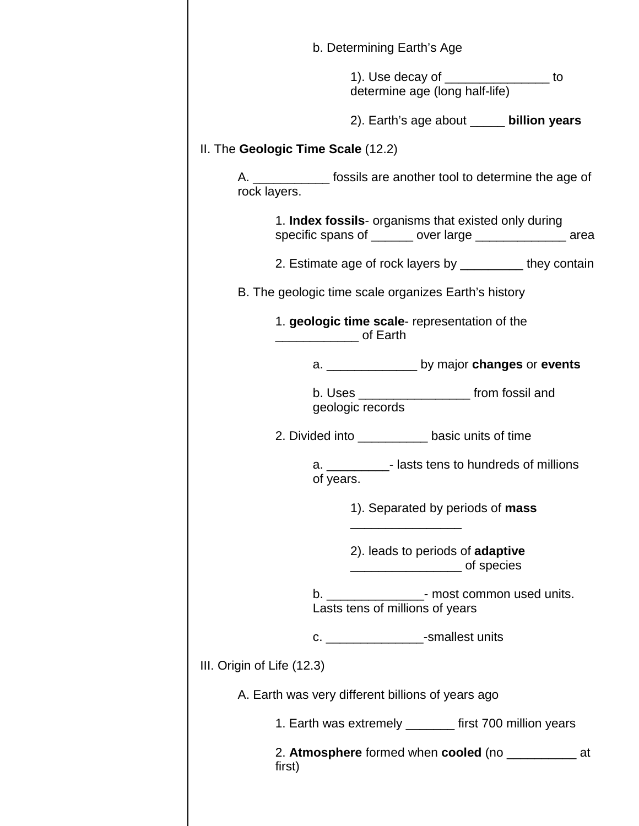| b. Determining Earth's Age                                                                                       |
|------------------------------------------------------------------------------------------------------------------|
| 1). Use decay of ___________________ to<br>determine age (long half-life)                                        |
| 2). Earth's age about _____ billion years                                                                        |
| II. The Geologic Time Scale (12.2)                                                                               |
| A. _______________ fossils are another tool to determine the age of<br>rock layers.                              |
| 1. Index fossils- organisms that existed only during<br>specific spans of _______ over large ______________ area |
| 2. Estimate age of rock layers by ___________ they contain                                                       |
| B. The geologic time scale organizes Earth's history                                                             |
| 1. geologic time scale- representation of the<br>_______________ of Earth                                        |
|                                                                                                                  |
| b. Uses _______________________ from fossil and<br>geologic records                                              |
| 2. Divided into _____________ basic units of time                                                                |
| a. _____________- lasts tens to hundreds of millions<br>of years.                                                |
| 1). Separated by periods of mass                                                                                 |
| 2). leads to periods of <b>adaptive</b>                                                                          |
| b. ____________________- most common used units.<br>Lasts tens of millions of years                              |
| c. _________________-smallest units                                                                              |
| III. Origin of Life (12.3)                                                                                       |
| A. Earth was very different billions of years ago                                                                |
| 1. Earth was extremely ________ first 700 million years                                                          |
| 2. Atmosphere formed when cooled (no _______________ at<br>first)                                                |
|                                                                                                                  |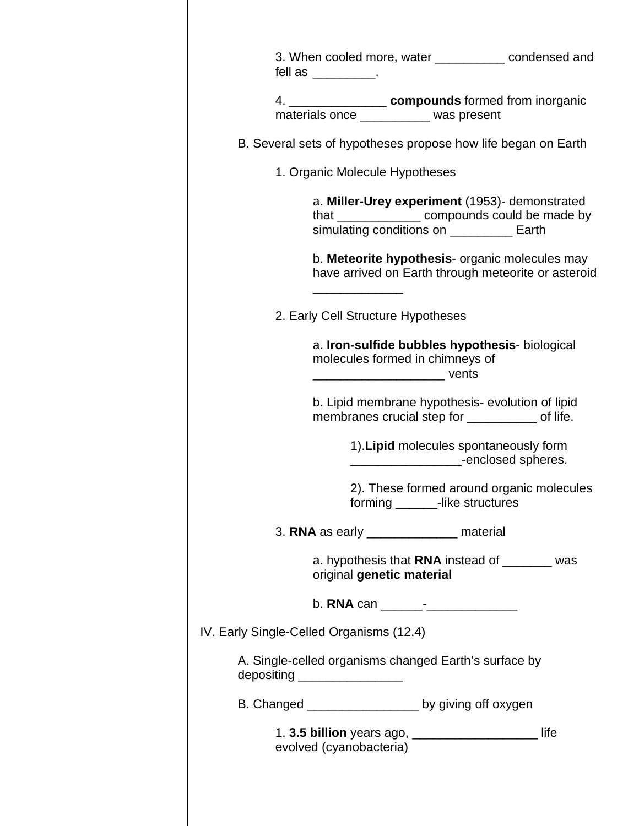| fell as _________.                       |                                           |                                                                                                        | 3. When cooled more, water __________ condensed and                                                   |
|------------------------------------------|-------------------------------------------|--------------------------------------------------------------------------------------------------------|-------------------------------------------------------------------------------------------------------|
|                                          |                                           | 4. ____________________ compounds formed from inorganic<br>materials once __________ was present       |                                                                                                       |
|                                          |                                           | B. Several sets of hypotheses propose how life began on Earth                                          |                                                                                                       |
| 1. Organic Molecule Hypotheses           |                                           |                                                                                                        |                                                                                                       |
|                                          |                                           | a. Miller-Urey experiment (1953)- demonstrated<br>simulating conditions on ___________ Earth           | that ________________ compounds could be made by                                                      |
|                                          |                                           |                                                                                                        | b. Meteorite hypothesis- organic molecules may<br>have arrived on Earth through meteorite or asteroid |
| 2. Early Cell Structure Hypotheses       |                                           |                                                                                                        |                                                                                                       |
|                                          | ___________________________________ vents | a. Iron-sulfide bubbles hypothesis- biological<br>molecules formed in chimneys of                      |                                                                                                       |
|                                          |                                           | b. Lipid membrane hypothesis- evolution of lipid<br>membranes crucial step for ______________ of life. |                                                                                                       |
|                                          |                                           | 1). Lipid molecules spontaneously form<br>denoted spheres.                                             |                                                                                                       |
|                                          |                                           | forming ________-like structures                                                                       | 2). These formed around organic molecules                                                             |
|                                          |                                           | 3. RNA as early __________________ material                                                            |                                                                                                       |
|                                          | original genetic material                 | a. hypothesis that <b>RNA</b> instead of ________ was                                                  |                                                                                                       |
|                                          |                                           |                                                                                                        |                                                                                                       |
| IV. Early Single-Celled Organisms (12.4) |                                           |                                                                                                        |                                                                                                       |
| depositing ____________________          |                                           | A. Single-celled organisms changed Earth's surface by                                                  |                                                                                                       |
|                                          |                                           | B. Changed ___________________ by giving off oxygen                                                    |                                                                                                       |
| evolved (cyanobacteria)                  |                                           | 1. 3.5 billion years ago, ______________________ life                                                  |                                                                                                       |
|                                          |                                           |                                                                                                        |                                                                                                       |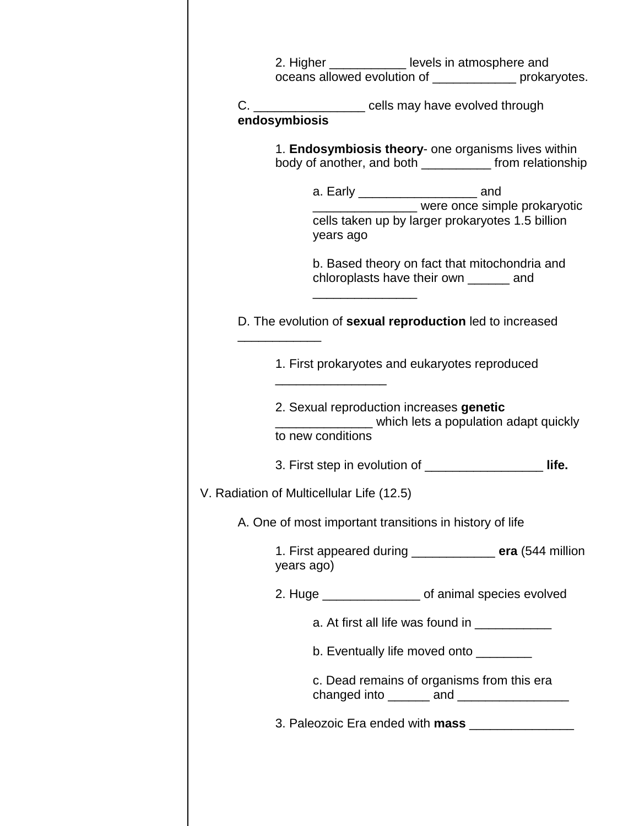|                                                                         | 2. Higher _____________ levels in atmosphere and | oceans allowed evolution of ____________ prokaryotes.                                                            |
|-------------------------------------------------------------------------|--------------------------------------------------|------------------------------------------------------------------------------------------------------------------|
| C. ____________________ cells may have evolved through<br>endosymbiosis |                                                  |                                                                                                                  |
|                                                                         |                                                  | 1. Endosymbiosis theory- one organisms lives within<br>body of another, and both _____________ from relationship |
| years ago                                                               | a. Early _________________________ and           | were once simple prokaryotic<br>cells taken up by larger prokaryotes 1.5 billion                                 |
|                                                                         | chloroplasts have their own _______ and          | b. Based theory on fact that mitochondria and                                                                    |
| D. The evolution of sexual reproduction led to increased                |                                                  |                                                                                                                  |
|                                                                         | 1. First prokaryotes and eukaryotes reproduced   |                                                                                                                  |
|                                                                         |                                                  |                                                                                                                  |
| to new conditions                                                       | 2. Sexual reproduction increases genetic         |                                                                                                                  |
|                                                                         |                                                  | which lets a population adapt quickly<br>3. First step in evolution of _______________________ life.             |
| V. Radiation of Multicellular Life (12.5)                               |                                                  |                                                                                                                  |
| A. One of most important transitions in history of life                 |                                                  |                                                                                                                  |
| years ago)                                                              |                                                  |                                                                                                                  |
|                                                                         |                                                  | 2. Huge ___________________ of animal species evolved                                                            |
|                                                                         | a. At first all life was found in ____________   |                                                                                                                  |
|                                                                         | b. Eventually life moved onto ________           |                                                                                                                  |
|                                                                         | c. Dead remains of organisms from this era       | 1. First appeared during ______________ era (544 million<br>changed into _______ and __________________          |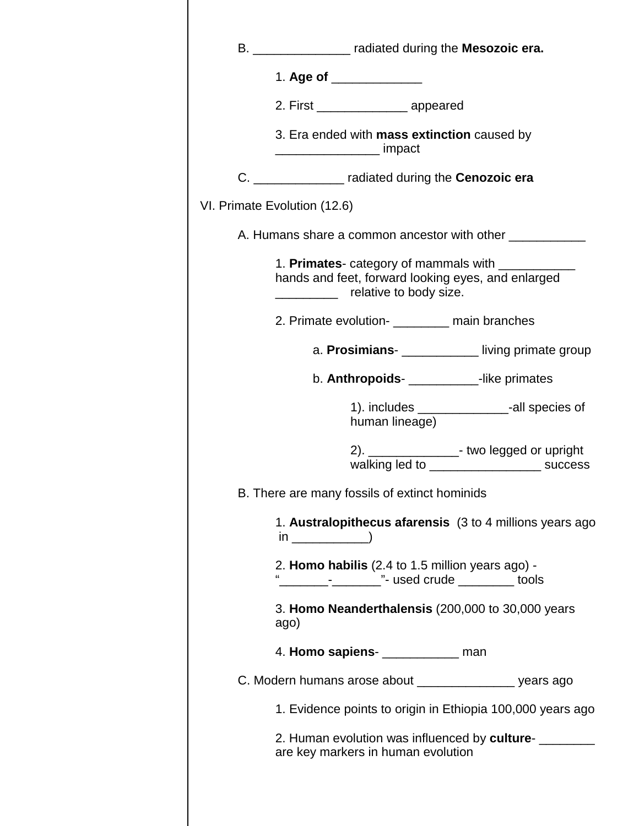| B. _________________ radiated during the Mesozoic era.                                                                             |
|------------------------------------------------------------------------------------------------------------------------------------|
| 1. Age of _______________                                                                                                          |
| 2. First ___________________ appeared                                                                                              |
| 3. Era ended with mass extinction caused by<br>_______________________ impact                                                      |
| C. _________________ radiated during the Cenozoic era                                                                              |
| VI. Primate Evolution (12.6)                                                                                                       |
| A. Humans share a common ancestor with other ___________                                                                           |
| 1. Primates- category of mammals with ____________<br>hands and feet, forward looking eyes, and enlarged<br>relative to body size. |
| 2. Primate evolution-<br><u> </u> main branches                                                                                    |
| a. Prosimians- <b>__________</b> living primate group                                                                              |
| b. Anthropoids-<br><u> Like primates</u>                                                                                           |
| 1). includes ___________________-all species of<br>human lineage)                                                                  |
| 2). ________________- two legged or upright                                                                                        |
| B. There are many fossils of extinct hominids                                                                                      |
| 1. Australopithecus afarensis (3 to 4 millions years ago<br>$\sin \frac{1}{2}$ (in $\frac{1}{2}$ )                                 |
| 2. Homo habilis (2.4 to 1.5 million years ago) -                                                                                   |
| 3. Homo Neanderthalensis (200,000 to 30,000 years<br>ago)                                                                          |
| 4. Homo sapiens- _____________ man                                                                                                 |
| C. Modern humans arose about _________________ years ago                                                                           |
| 1. Evidence points to origin in Ethiopia 100,000 years ago                                                                         |
| 2. Human evolution was influenced by culture-                                                                                      |